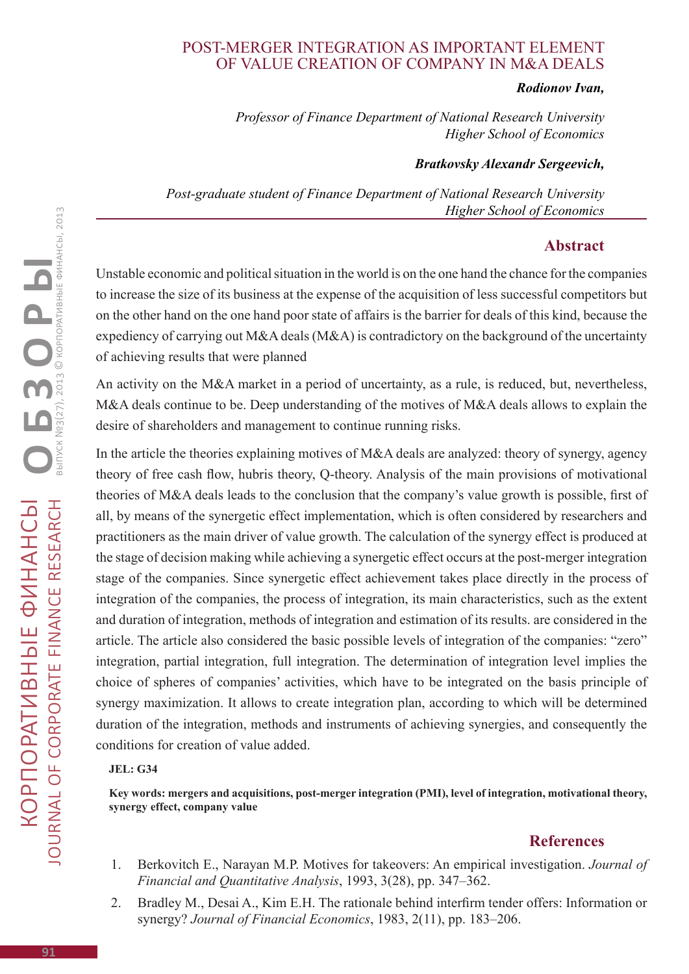# Post-merger integration as important element of value creation of company in M&A deals

#### *Rodionov Ivan,*

*Professor of Finance Department of National Research University Higher School of Economics*

### *Bratkovsky Alexandr Sergeevich,*

*Post-graduate student of Finance Department of National Research University Higher School of Economics*

### **Abstract**

Unstable economic and political situation in the world is on the one hand the chance for the companies to increase the size of its business at the expense of the acquisition of less successful competitors but on the other hand on the one hand poor state of affairs is the barrier for deals of this kind, because the expediency of carrying out M&A deals (M&A) is contradictory on the background of the uncertainty of achieving results that were planned

An activity on the M&A market in a period of uncertainty, as a rule, is reduced, but, nevertheless, M&A deals continue to be. Deep understanding of the motives of M&A deals allows to explain the desire of shareholders and management to continue running risks.

In the article the theories explaining motives of M&A deals are analyzed: theory of synergy, agency theory of free cash flow, hubris theory, Q-theory. Analysis of the main provisions of motivational theories of M&A deals leads to the conclusion that the company's value growth is possible, first of all, by means of the synergetic effect implementation, which is often considered by researchers and practitioners as the main driver of value growth. The calculation of the synergy effect is produced at the stage of decision making while achieving a synergetic effect occurs at the post-merger integration stage of the companies. Since synergetic effect achievement takes place directly in the process of integration of the companies, the process of integration, its main characteristics, such as the extent and duration of integration, methods of integration and estimation of its results. are considered in the article. The article also considered the basic possible levels of integration of the companies: "zero" integration, partial integration, full integration. The determination of integration level implies the choice of spheres of companies' activities, which have to be integrated on the basis principle of synergy maximization. It allows to create integration plan, according to which will be determined duration of the integration, methods and instruments of achieving synergies, and consequently the conditions for creation of value added.

#### **JEL: G34**

**Key words: mergers and acquisitions, post-merger integration (PMI), level of integration, motivational theory, synergy effect, company value**

## **References**

- 1. Berkovitch E., Narayan M.P. Motives for takeovers: An empirical investigation. *Journal of Financial and Quantitative Analysis*, 1993, 3(28), pp. 347–362.
- 2. Bradley M., Desai A., Kim E.H. The rationale behind interfirm tender offers: Information or synergy? *Journal of Financial Economics*, 1983, 2(11), pp. 183–206.